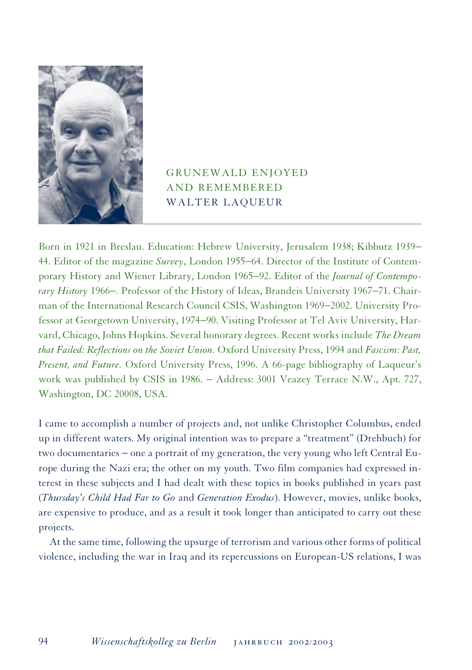

## GRUNEWALD ENJOYED AND REMEMBERED WALTER LAQUEUR

Born in 1921 in Breslau. Education: Hebrew University, Jerusalem 1938; Kibbutz 1939− 44. Editor of the magazine *Survey*, London 1955−64. Director of the Institute of Contemporary History and Wiener Library, London 1965−92. Editor of the *Journal of Contemporary History* 1966−. Professor of the History of Ideas, Brandeis University 1967−71. Chairman of the International Research Council CSIS, Washington 1969−2002. University Professor at Georgetown University, 1974−90. Visiting Professor at Tel Aviv University, Harvard, Chicago, Johns Hopkins. Several honorary degrees. Recent works include *The Dream that Failed: Reflections on the Soviet Union.* Oxford University Press, 1994 and *Fascism: Past, Present, and Future.* Oxford University Press, 1996. A 66-page bibliography of Laqueur's work was published by CSIS in 1986. − Address: 3001 Veazey Terrace N.W., Apt. 727, Washington, DC 20008, USA.

I came to accomplish a number of projects and, not unlike Christopher Columbus, ended up in different waters. My original intention was to prepare a "treatment" (Drehbuch) for two documentaries − one a portrait of my generation, the very young who left Central Europe during the Nazi era; the other on my youth. Two film companies had expressed interest in these subjects and I had dealt with these topics in books published in years past (*Thursday's Child Had Far to Go* and *Generation Exodus*). However, movies, unlike books, are expensive to produce, and as a result it took longer than anticipated to carry out these projects.

At the same time, following the upsurge of terrorism and various other forms of political violence, including the war in Iraq and its repercussions on European-US relations, I was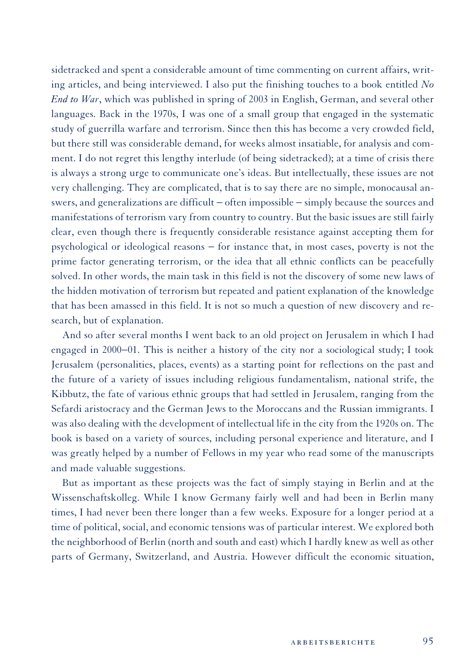sidetracked and spent a considerable amount of time commenting on current affairs, writing articles, and being interviewed. I also put the finishing touches to a book entitled *No End to War*, which was published in spring of 2003 in English, German, and several other languages. Back in the 1970s, I was one of a small group that engaged in the systematic study of guerrilla warfare and terrorism. Since then this has become a very crowded field, but there still was considerable demand, for weeks almost insatiable, for analysis and comment. I do not regret this lengthy interlude (of being sidetracked); at a time of crisis there is always a strong urge to communicate one's ideas. But intellectually, these issues are not very challenging. They are complicated, that is to say there are no simple, monocausal answers, and generalizations are difficult – often impossible – simply because the sources and manifestations of terrorism vary from country to country. But the basic issues are still fairly clear, even though there is frequently considerable resistance against accepting them for psychological or ideological reasons − for instance that, in most cases, poverty is not the prime factor generating terrorism, or the idea that all ethnic conflicts can be peacefully solved. In other words, the main task in this field is not the discovery of some new laws of the hidden motivation of terrorism but repeated and patient explanation of the knowledge that has been amassed in this field. It is not so much a question of new discovery and research, but of explanation.

And so after several months I went back to an old project on Jerusalem in which I had engaged in 2000−01. This is neither a history of the city nor a sociological study; I took Jerusalem (personalities, places, events) as a starting point for reflections on the past and the future of a variety of issues including religious fundamentalism, national strife, the Kibbutz, the fate of various ethnic groups that had settled in Jerusalem, ranging from the Sefardi aristocracy and the German Jews to the Moroccans and the Russian immigrants. I was also dealing with the development of intellectual life in the city from the 1920s on. The book is based on a variety of sources, including personal experience and literature, and I was greatly helped by a number of Fellows in my year who read some of the manuscripts and made valuable suggestions.

But as important as these projects was the fact of simply staying in Berlin and at the Wissenschaftskolleg. While I know Germany fairly well and had been in Berlin many times, I had never been there longer than a few weeks. Exposure for a longer period at a time of political, social, and economic tensions was of particular interest. We explored both the neighborhood of Berlin (north and south and east) which I hardly knew as well as other parts of Germany, Switzerland, and Austria. However difficult the economic situation,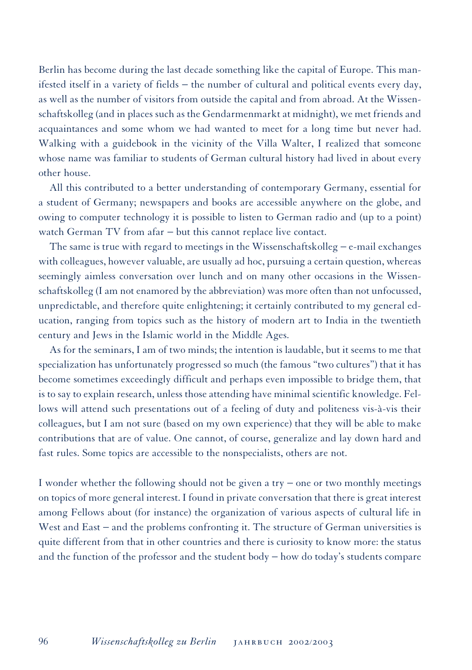Berlin has become during the last decade something like the capital of Europe. This manifested itself in a variety of fields − the number of cultural and political events every day, as well as the number of visitors from outside the capital and from abroad. At the Wissenschaftskolleg (and in places such as the Gendarmenmarkt at midnight), we met friends and acquaintances and some whom we had wanted to meet for a long time but never had. Walking with a guidebook in the vicinity of the Villa Walter, I realized that someone whose name was familiar to students of German cultural history had lived in about every other house.

All this contributed to a better understanding of contemporary Germany, essential for a student of Germany; newspapers and books are accessible anywhere on the globe, and owing to computer technology it is possible to listen to German radio and (up to a point) watch German TV from afar – but this cannot replace live contact.

The same is true with regard to meetings in the Wissenschaftskolleg − e-mail exchanges with colleagues, however valuable, are usually ad hoc, pursuing a certain question, whereas seemingly aimless conversation over lunch and on many other occasions in the Wissenschaftskolleg (I am not enamored by the abbreviation) was more often than not unfocussed, unpredictable, and therefore quite enlightening; it certainly contributed to my general education, ranging from topics such as the history of modern art to India in the twentieth century and Jews in the Islamic world in the Middle Ages.

As for the seminars, I am of two minds; the intention is laudable, but it seems to me that specialization has unfortunately progressed so much (the famous "two cultures") that it has become sometimes exceedingly difficult and perhaps even impossible to bridge them, that is to say to explain research, unless those attending have minimal scientific knowledge. Fellows will attend such presentations out of a feeling of duty and politeness vis-à-vis their colleagues, but I am not sure (based on my own experience) that they will be able to make contributions that are of value. One cannot, of course, generalize and lay down hard and fast rules. Some topics are accessible to the nonspecialists, others are not.

I wonder whether the following should not be given a try − one or two monthly meetings on topics of more general interest. I found in private conversation that there is great interest among Fellows about (for instance) the organization of various aspects of cultural life in West and East − and the problems confronting it. The structure of German universities is quite different from that in other countries and there is curiosity to know more: the status and the function of the professor and the student body − how do today's students compare